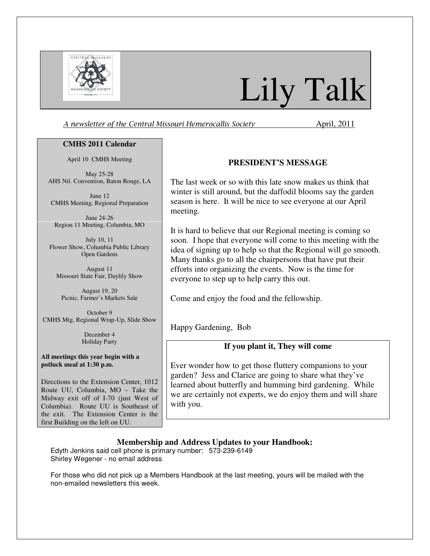

# Lily Talk

A newsletter of the Central Missouri Hemerocallis Society **April**, 2011

## **CMHS 2011 Calendar**

April 10 CMHS Meeting

May 25-28 AHS Ntl. Convention, Baton Rouge, LA

June 12 CMHS Meeting, Regional Preparation

June 24-26 Region 11 Meeting, Columbia, MO

July 10, 11 Flower Show, Columbia Public Library Open Gardens

August 11 Missouri State Fair, Daylily Show

August 19, 20 Picnic, Farmer's Markets Sale

October 9 CMHS Mtg, Regional Wrap-Up, Slide Show

> December 4 Holiday Party

**All meetings this year begin with a potluck meal at 1:30 p.m.** 

Directions to the Extension Center, 1012 Route UU, Columbia, MO – Take the Midway exit off of I-70 (just West of Columbia). Route UU is Southeast of the exit. The Extension Center is the first Building on the left on UU.

# **PRESIDENT'S MESSAGE**

The last week or so with this late snow makes us think that winter is still around, but the daffodil blooms say the garden season is here. It will be nice to see everyone at our April meeting.

It is hard to believe that our Regional meeting is coming so soon. I hope that everyone will come to this meeting with the idea of signing up to help so that the Regional will go smooth. Many thanks go to all the chairpersons that have put their efforts into organizing the events. Now is the time for everyone to step up to help carry this out.

Come and enjoy the food and the fellowship.

Happy Gardening, Bob

# **If you plant it, They will come**

Ever wonder how to get those fluttery companions to your garden? Jess and Clarice are going to share what they've learned about butterfly and humming bird gardening. While we are certainly not experts, we do enjoy them and will share with you.

**Membership and Address Updates to your Handbook:** 

Edyth Jenkins said cell phone is primary number: 573-239-6149 Shirley Wegener - no email address

For those who did not pick up a Members Handbook at the last meeting, yours will be mailed with the non-emailed newsletters this week.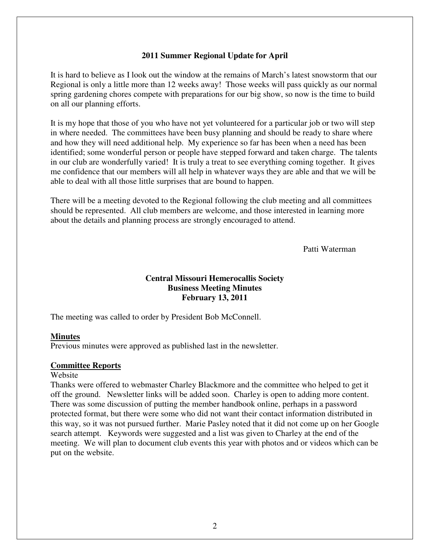## **2011 Summer Regional Update for April**

It is hard to believe as I look out the window at the remains of March's latest snowstorm that our Regional is only a little more than 12 weeks away! Those weeks will pass quickly as our normal spring gardening chores compete with preparations for our big show, so now is the time to build on all our planning efforts.

It is my hope that those of you who have not yet volunteered for a particular job or two will step in where needed. The committees have been busy planning and should be ready to share where and how they will need additional help. My experience so far has been when a need has been identified; some wonderful person or people have stepped forward and taken charge. The talents in our club are wonderfully varied! It is truly a treat to see everything coming together. It gives me confidence that our members will all help in whatever ways they are able and that we will be able to deal with all those little surprises that are bound to happen.

There will be a meeting devoted to the Regional following the club meeting and all committees should be represented. All club members are welcome, and those interested in learning more about the details and planning process are strongly encouraged to attend.

Patti Waterman

# **Central Missouri Hemerocallis Society Business Meeting Minutes February 13, 2011**

The meeting was called to order by President Bob McConnell.

#### **Minutes**

Previous minutes were approved as published last in the newsletter.

#### **Committee Reports**

#### Website

Thanks were offered to webmaster Charley Blackmore and the committee who helped to get it off the ground. Newsletter links will be added soon. Charley is open to adding more content. There was some discussion of putting the member handbook online, perhaps in a password protected format, but there were some who did not want their contact information distributed in this way, so it was not pursued further. Marie Pasley noted that it did not come up on her Google search attempt. Keywords were suggested and a list was given to Charley at the end of the meeting. We will plan to document club events this year with photos and or videos which can be put on the website.